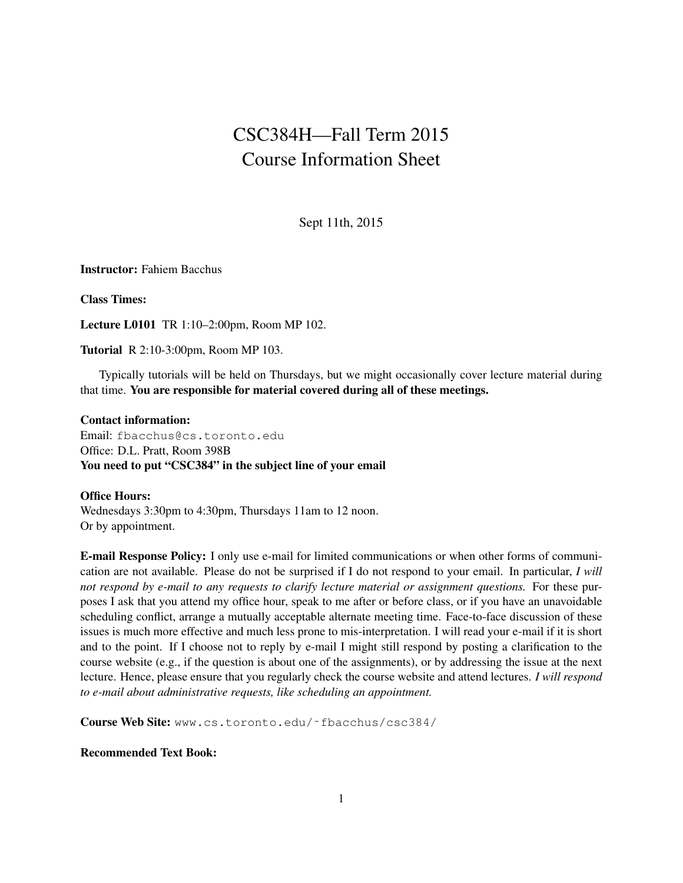# CSC384H—Fall Term 2015 Course Information Sheet

Sept 11th, 2015

Instructor: Fahiem Bacchus

Class Times:

Lecture L0101 TR 1:10–2:00pm, Room MP 102.

Tutorial R 2:10-3:00pm, Room MP 103.

Typically tutorials will be held on Thursdays, but we might occasionally cover lecture material during that time. You are responsible for material covered during all of these meetings.

### Contact information:

Email: fbacchus@cs.toronto.edu Office: D.L. Pratt, Room 398B You need to put "CSC384" in the subject line of your email

## Office Hours:

Wednesdays 3:30pm to 4:30pm, Thursdays 11am to 12 noon. Or by appointment.

E-mail Response Policy: I only use e-mail for limited communications or when other forms of communication are not available. Please do not be surprised if I do not respond to your email. In particular, *I will not respond by e-mail to any requests to clarify lecture material or assignment questions.* For these purposes I ask that you attend my office hour, speak to me after or before class, or if you have an unavoidable scheduling conflict, arrange a mutually acceptable alternate meeting time. Face-to-face discussion of these issues is much more effective and much less prone to mis-interpretation. I will read your e-mail if it is short and to the point. If I choose not to reply by e-mail I might still respond by posting a clarification to the course website (e.g., if the question is about one of the assignments), or by addressing the issue at the next lecture. Hence, please ensure that you regularly check the course website and attend lectures. *I will respond to e-mail about administrative requests, like scheduling an appointment.*

Course Web Site: www.cs.toronto.edu/˜fbacchus/csc384/

### Recommended Text Book: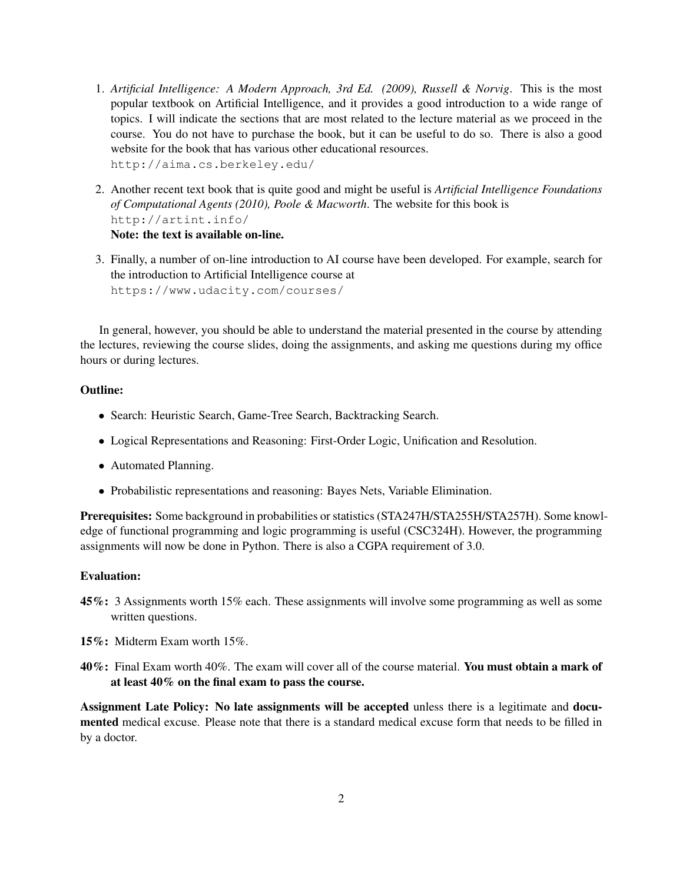- 1. *Artificial Intelligence: A Modern Approach, 3rd Ed. (2009), Russell & Norvig*. This is the most popular textbook on Artificial Intelligence, and it provides a good introduction to a wide range of topics. I will indicate the sections that are most related to the lecture material as we proceed in the course. You do not have to purchase the book, but it can be useful to do so. There is also a good website for the book that has various other educational resources. http://aima.cs.berkeley.edu/
- 2. Another recent text book that is quite good and might be useful is *Artificial Intelligence Foundations of Computational Agents (2010), Poole & Macworth*. The website for this book is http://artint.info/ Note: the text is available on-line.
- 3. Finally, a number of on-line introduction to AI course have been developed. For example, search for the introduction to Artificial Intelligence course at https://www.udacity.com/courses/

In general, however, you should be able to understand the material presented in the course by attending the lectures, reviewing the course slides, doing the assignments, and asking me questions during my office hours or during lectures.

## Outline:

- Search: Heuristic Search, Game-Tree Search, Backtracking Search.
- Logical Representations and Reasoning: First-Order Logic, Unification and Resolution.
- Automated Planning.
- Probabilistic representations and reasoning: Bayes Nets, Variable Elimination.

Prerequisites: Some background in probabilities or statistics (STA247H/STA255H/STA257H). Some knowledge of functional programming and logic programming is useful (CSC324H). However, the programming assignments will now be done in Python. There is also a CGPA requirement of 3.0.

## Evaluation:

- 45%: 3 Assignments worth 15% each. These assignments will involve some programming as well as some written questions.
- 15%: Midterm Exam worth 15%.
- 40%: Final Exam worth 40%. The exam will cover all of the course material. You must obtain a mark of at least 40% on the final exam to pass the course.

Assignment Late Policy: No late assignments will be accepted unless there is a legitimate and documented medical excuse. Please note that there is a standard medical excuse form that needs to be filled in by a doctor.